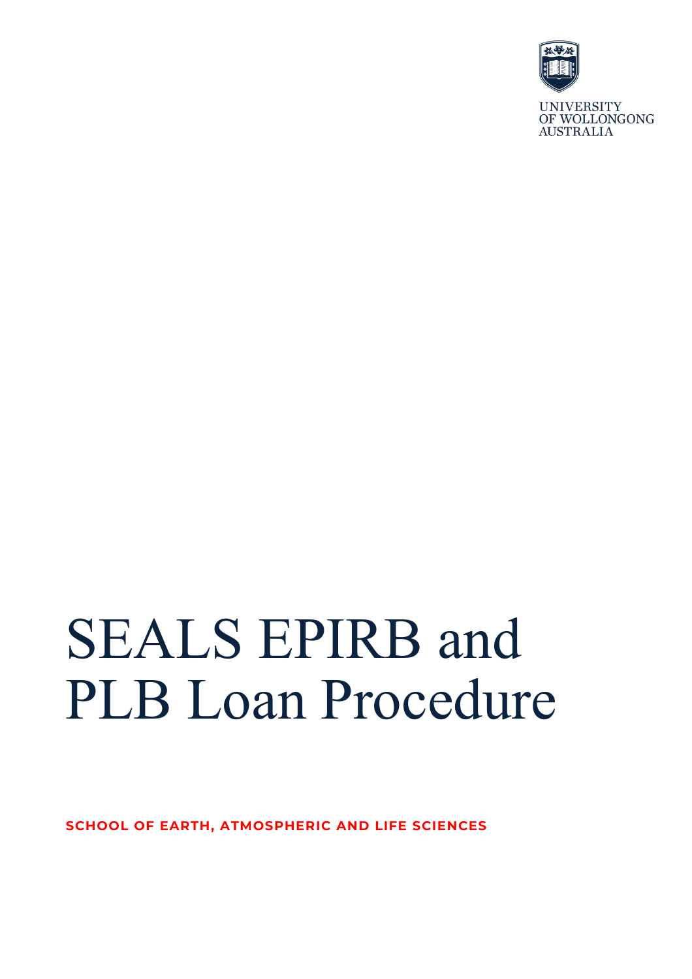

**UNIVERSITY** OF WOLLONGONG **AUSTRALIA** 

## SEALS EPIRB and PLB Loan Procedure

**SCHOOL OF EARTH, ATMOSPHERIC AND LIFE SCIENCES**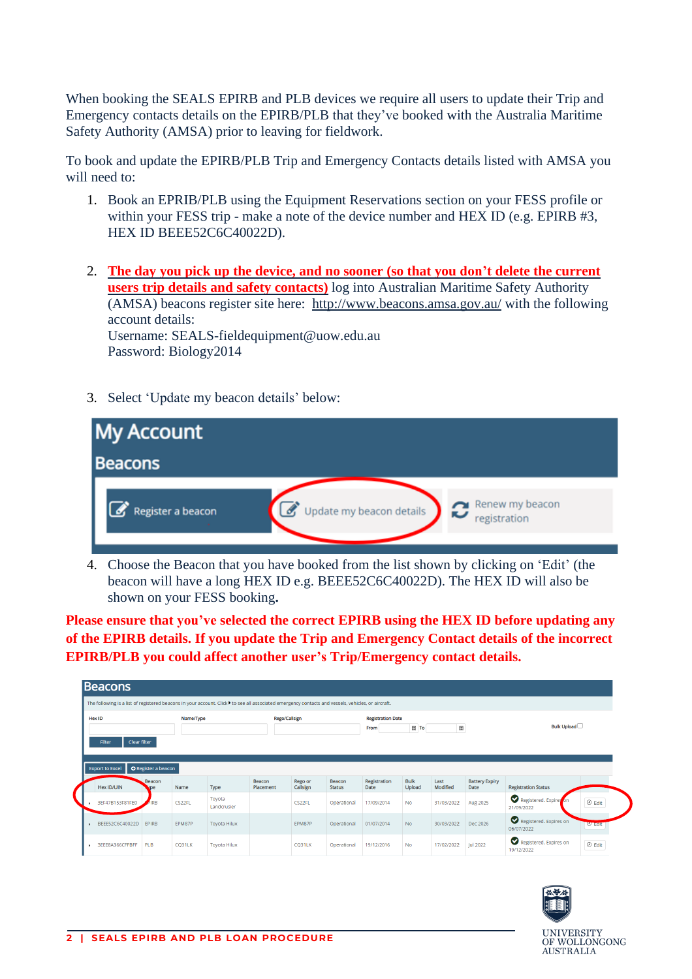When booking the SEALS EPIRB and PLB devices we require all users to update their Trip and Emergency contacts details on the EPIRB/PLB that they've booked with the Australia Maritime Safety Authority (AMSA) prior to leaving for fieldwork.

To book and update the EPIRB/PLB Trip and Emergency Contacts details listed with AMSA you will need to:

- 1. Book an EPRIB/PLB using the Equipment Reservations section on your FESS profile or within your FESS trip - make a note of the device number and HEX ID (e.g. EPIRB #3, HEX ID BEEE52C6C40022D).
- 2. **The day you pick up the device, and no sooner (so that you don't delete the current users trip details and safety contacts)** log into Australian Maritime Safety Authority (AMSA) beacons register site here: <http://www.beacons.amsa.gov.au/> with the following account details: Username: SEALS-fieldequipment@uow.edu.au Password: Biology2014
- 3. Select 'Update my beacon details' below:



4. Choose the Beacon that you have booked from the list shown by clicking on 'Edit' (the beacon will have a long HEX ID e.g. BEEE52C6C40022D). The HEX ID will also be shown on your FESS booking**.**

**Please ensure that you've selected the correct EPIRB using the HEX ID before updating any of the EPIRB details. If you update the Trip and Emergency Contact details of the incorrect EPIRB/PLB you could affect another user's Trip/Emergency contact details.**

| Hex ID                                               |        | Name/Type             |                     | <b>Rego/Callsign</b> |                         | <b>Registration Date</b> |                                     |                  |                               |                                      |              |
|------------------------------------------------------|--------|-----------------------|---------------------|----------------------|-------------------------|--------------------------|-------------------------------------|------------------|-------------------------------|--------------------------------------|--------------|
|                                                      |        |                       |                     |                      |                         | From                     | $\textcolor{red}{\textbf{1}}$<br>To | $\boxplus$       |                               | <b>Bulk Upload</b>                   |              |
| <b>Clear filter</b><br><b>Filter</b>                 |        |                       |                     |                      |                         |                          |                                     |                  |                               |                                      |              |
|                                                      |        |                       |                     |                      |                         |                          |                                     |                  |                               |                                      |              |
|                                                      |        |                       |                     |                      |                         |                          |                                     |                  |                               |                                      |              |
| <b>O</b> Register a beacon<br><b>Export to Excel</b> |        |                       |                     |                      |                         |                          |                                     |                  |                               |                                      |              |
| <b>Beacon</b><br><b>Hex ID/UIN</b><br>vpe            | Name   | Type                  | Beacon<br>Placement | Rego or<br>Callsign  | Beacon<br><b>Status</b> | Registration<br>Date     | <b>Bulk</b><br>Upload               | Last<br>Modified | <b>Battery Expiry</b><br>Date | <b>Registration Status</b>           |              |
| 3EF47B153F81FE0<br>PIRB                              | CS22FL | Toyota<br>Landcrusier |                     | CS22FL               | Operational             | 17/09/2014               | <b>No</b>                           | 31/03/2022       | Aug 2025                      | Registered, Expires on<br>21/09/2022 | $\odot$ Edit |
| BEEE52C6C40022D<br>EPIRB                             | EPM87P | <b>Toyota Hilux</b>   |                     | EPM87P               | Operational             | 01/07/2014               | No.                                 | 30/03/2022       | Dec 2026                      | Registered, Expires on<br>06/07/2022 | $\sigma$ can |

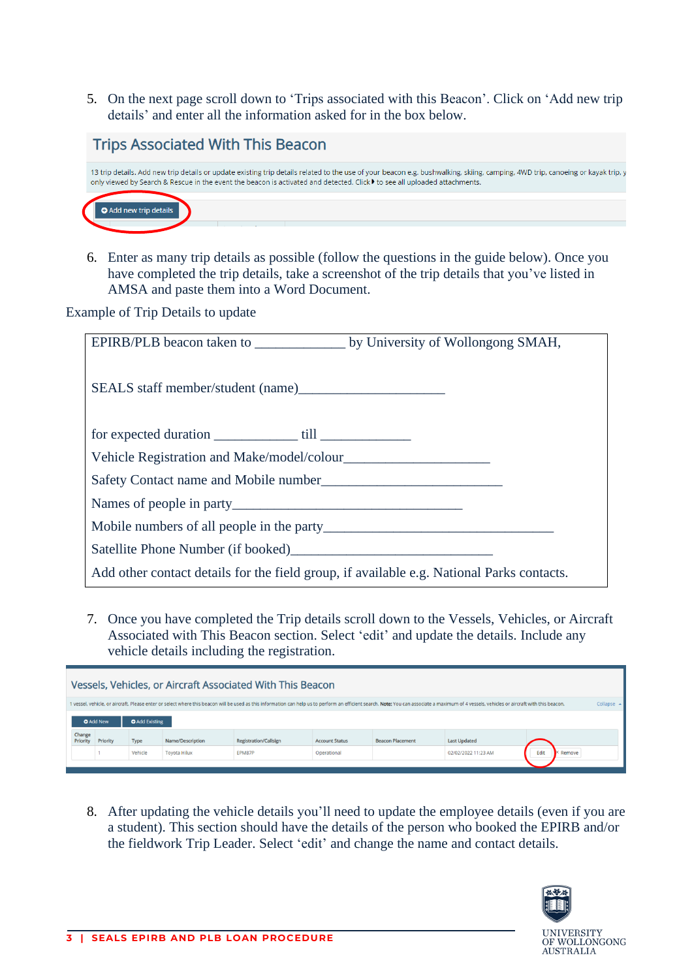5. On the next page scroll down to 'Trips associated with this Beacon'. Click on 'Add new trip details' and enter all the information asked for in the box below.

| <b>Trips Associated With This Beacon</b>                                                                                                                                                                                                                                                                   |
|------------------------------------------------------------------------------------------------------------------------------------------------------------------------------------------------------------------------------------------------------------------------------------------------------------|
| 13 trip details. Add new trip details or update existing trip details related to the use of your beacon e.g. bushwalking, skiing, camping, 4WD trip, canoeing or kayak trip, y<br>only viewed by Search & Rescue in the event the beacon is activated and detected. Click▶to see all uploaded attachments. |
| <b>O</b> Add new trip details                                                                                                                                                                                                                                                                              |

6. Enter as many trip details as possible (follow the questions in the guide below). Once you have completed the trip details, take a screenshot of the trip details that you've listed in AMSA and paste them into a Word Document.

Example of Trip Details to update

| EPIRB/PLB beacon taken to _______________________ by University of Wollongong SMAH,       |  |  |  |  |  |  |  |  |
|-------------------------------------------------------------------------------------------|--|--|--|--|--|--|--|--|
| SEALS staff member/student (name)                                                         |  |  |  |  |  |  |  |  |
|                                                                                           |  |  |  |  |  |  |  |  |
|                                                                                           |  |  |  |  |  |  |  |  |
|                                                                                           |  |  |  |  |  |  |  |  |
|                                                                                           |  |  |  |  |  |  |  |  |
| Mobile numbers of all people in the party                                                 |  |  |  |  |  |  |  |  |
|                                                                                           |  |  |  |  |  |  |  |  |
| Add other contact details for the field group, if available e.g. National Parks contacts. |  |  |  |  |  |  |  |  |

7. Once you have completed the Trip details scroll down to the Vessels, Vehicles, or Aircraft Associated with This Beacon section. Select 'edit' and update the details. Include any vehicle details including the registration.

| Vessels, Vehicles, or Aircraft Associated With This Beacon |                                                                                                                                                           |                       |                     |                                                                                                                                                                                                                                |             |  |                     |                         |                      |  |  |
|------------------------------------------------------------|-----------------------------------------------------------------------------------------------------------------------------------------------------------|-----------------------|---------------------|--------------------------------------------------------------------------------------------------------------------------------------------------------------------------------------------------------------------------------|-------------|--|---------------------|-------------------------|----------------------|--|--|
|                                                            |                                                                                                                                                           |                       |                     | 1 vessel, vehicle, or aircraft. Please enter or select where this beacon will be used as this information can help us to perform an efficient search. Note: You can associate a maximum of 4 vessels, vehicles or aircraft wit |             |  |                     |                         | Collapse $\triangle$ |  |  |
|                                                            | <b>O</b> Add New                                                                                                                                          | <b>O</b> Add Existing |                     |                                                                                                                                                                                                                                |             |  |                     |                         |                      |  |  |
| Priority                                                   | Change<br><b>Registration/Callsign</b><br><b>Beacon Placement</b><br><b>Last Updated</b><br>Type<br>Name/Description<br><b>Account Status</b><br>Priority |                       |                     |                                                                                                                                                                                                                                |             |  |                     |                         |                      |  |  |
|                                                            |                                                                                                                                                           | Vehicle               | <b>Toyota Hilux</b> | EPM87P                                                                                                                                                                                                                         | Operational |  | 02/02/2022 11:23 AM | Edit<br>$\times$ Remove |                      |  |  |
|                                                            |                                                                                                                                                           |                       |                     |                                                                                                                                                                                                                                |             |  |                     |                         |                      |  |  |

8. After updating the vehicle details you'll need to update the employee details (even if you are a student). This section should have the details of the person who booked the EPIRB and/or the fieldwork Trip Leader. Select 'edit' and change the name and contact details.

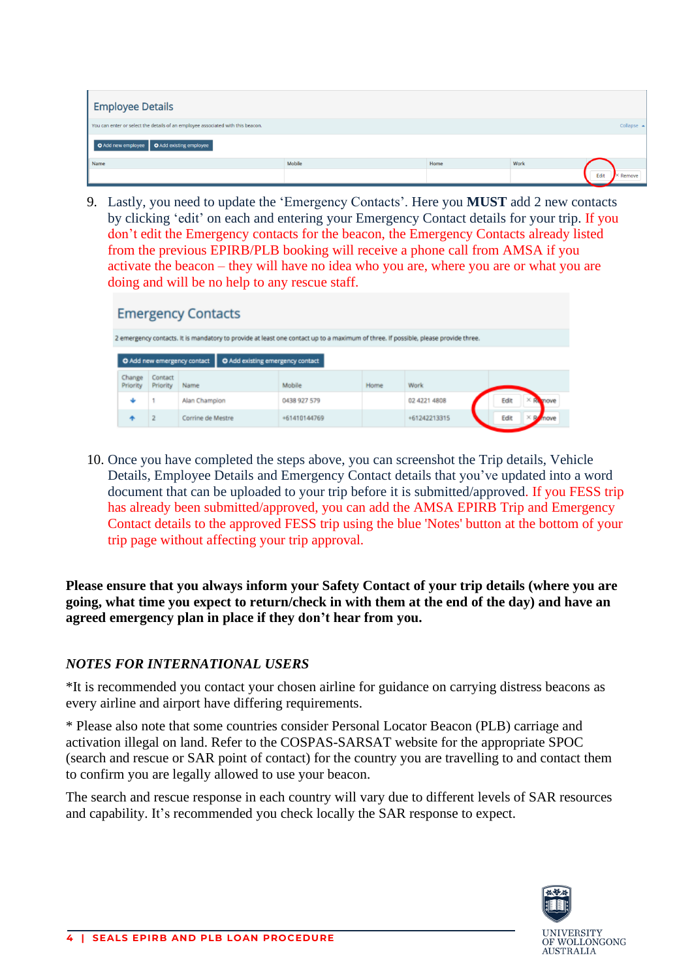| <b>Employee Details</b>                                                         |        |      |      |      |            |  |  |  |  |
|---------------------------------------------------------------------------------|--------|------|------|------|------------|--|--|--|--|
| You can enter or select the details of an employee associated with this beacon. |        |      |      |      | Collapse - |  |  |  |  |
| O Add new employee   O Add existing employee                                    |        |      |      |      |            |  |  |  |  |
| Name                                                                            | Mobile | Home | Work |      |            |  |  |  |  |
|                                                                                 |        |      |      | Edit | Remove     |  |  |  |  |

9. Lastly, you need to update the 'Emergency Contacts'. Here you **MUST** add 2 new contacts by clicking 'edit' on each and entering your Emergency Contact details for your trip. If you don't edit the Emergency contacts for the beacon, the Emergency Contacts already listed from the previous EPIRB/PLB booking will receive a phone call from AMSA if you activate the beacon – they will have no idea who you are, where you are or what you are doing and will be no help to any rescue staff.

| <b>Emergency Contacts</b>                                                                                                          |                     |                                                                 |              |      |              |      |                    |  |  |  |  |
|------------------------------------------------------------------------------------------------------------------------------------|---------------------|-----------------------------------------------------------------|--------------|------|--------------|------|--------------------|--|--|--|--|
| 2 emergency contacts, it is mandatory to provide at least one contact up to a maximum of three. If possible, please provide three. |                     |                                                                 |              |      |              |      |                    |  |  |  |  |
|                                                                                                                                    |                     | O Add existing emergency contact<br>O Add new emergency contact |              |      |              |      |                    |  |  |  |  |
| Change<br>Priority                                                                                                                 | Contact<br>Priority | Name                                                            | Mobile       | Home | Work         |      |                    |  |  |  |  |
| Edit<br>02 4221 4808<br>Alan Champion<br>0438 927 579<br>÷<br>move                                                                 |                     |                                                                 |              |      |              |      |                    |  |  |  |  |
|                                                                                                                                    |                     | Corrine de Mestre                                               | +61410144769 |      | +61242213315 | Edit | $\times R$<br>move |  |  |  |  |

10. Once you have completed the steps above, you can screenshot the Trip details, Vehicle Details, Employee Details and Emergency Contact details that you've updated into a word document that can be uploaded to your trip before it is submitted/approved. If you FESS trip has already been submitted/approved, you can add the AMSA EPIRB Trip and Emergency Contact details to the approved FESS trip using the blue 'Notes' button at the bottom of your trip page without affecting your trip approval.

**Please ensure that you always inform your Safety Contact of your trip details (where you are going, what time you expect to return/check in with them at the end of the day) and have an agreed emergency plan in place if they don't hear from you.**

## *NOTES FOR INTERNATIONAL USERS*

\*It is recommended you contact your chosen airline for guidance on carrying distress beacons as every airline and airport have differing requirements.

\* Please also note that some countries consider Personal Locator Beacon (PLB) carriage and activation illegal on land. Refer to the COSPAS-SARSAT website for the appropriate SPOC (search and rescue or SAR point of contact) for the country you are travelling to and contact them to confirm you are legally allowed to use your beacon.

The search and rescue response in each country will vary due to different levels of SAR resources and capability. It's recommended you check locally the SAR response to expect.